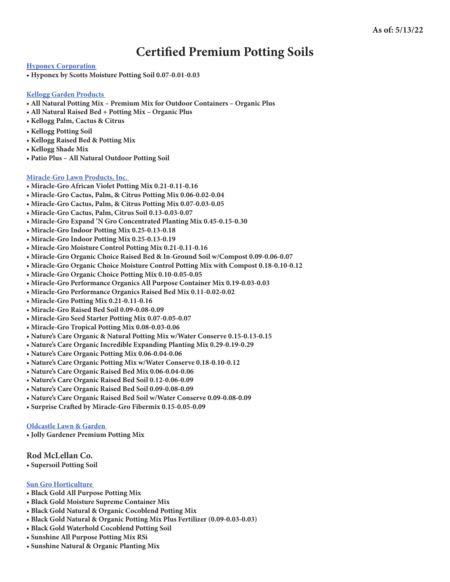# **Certified Premium Potting Soils**

#### **[Hyponex Corporation](http://www.scottsbrands.com/)**

**• Hyponex by Scotts Moisture Potting Soil 0.07-0.01-0.03** 

### **[Kellogg Garden Products](http://www.kellogggarden.com/)**

- **All Natural Potting Mix Premium Mix for Outdoor Containers Organic Plus**
- **All Natural Raised Bed + Potting Mix Organic Plus**
- **Kellogg Palm, Cactus & Citrus**
- **Kellogg Potting Soil**
- **Kellogg Raised Bed & Potting Mix**
- **Kellogg Shade Mix**
- **Patio Plus All Natural Outdoor Potting Soil**

### **[Miracle-Gro Lawn Products, Inc.](http://www.miraclegro.com/)**

- **Miracle-Gro African Violet Potting Mix 0.21-0.11-0.16**
- **Miracle-Gro Cactus, Palm, & Citrus Potting Mix 0.06-0.02-0.04**
- **Miracle-Gro Cactus, Palm, & Citrus Potting Mix 0.07-0.03-0.05**
- **Miracle-Gro Cactus, Palm, Citrus Soil 0.13-0.03-0.07**
- **Miracle-Gro Expand 'N Gro Concentrated Planting Mix 0.45-0.15-0.30**
- **Miracle-Gro Indoor Potting Mix 0.25-0.13-0.18**
- **Miracle-Gro Indoor Potting Mix 0.25-0.13-0.19**
- **Miracle-Gro Moisture Control Potting Mix 0.21-0.11-0.16**
- **Miracle-Gro Organic Choice Raised Bed & In-Ground Soil w/Compost 0.09-0.06-0.07**
- **Miracle-Gro Organic Choice Moisture Control Potting Mix with Compost 0.18-0.10-0.12**
- **Miracle-Gro Organic Choice Potting Mix 0.10-0.05-0.05**
- **Miracle-Gro Performance Organics All Purpose Container Mix 0.19-0.03-0.03**
- **Miracle-Gro Performance Organics Raised Bed Mix 0.11-0.02-0.02**
- **Miracle-Gro Potting Mix 0.21-0.11-0.16**
- **Miracle-Gro Raised Bed Soil 0.09-0.08-0.09**
- **Miracle-Gro Seed Starter Potting Mix 0.07-0.05-0.07**
- **Miracle-Gro Tropical Potting Mix 0.08-0.03-0.06**
- **Nature's Care Organic & Natural Potting Mix w/Water Conserve 0.15-0.13-0.15**
- **Nature's Care Organic Incredible Expanding Planting Mix 0.29-0.19-0.29**
- **Nature's Care Organic Potting Mix 0.06-0.04-0.06**
- **Nature's Care Organic Potting Mix w/Water Conserve 0.18-0.10-0.12**
- **Nature's Care Organic Raised Bed Mix 0.06-0.04-0.06**
- **Nature's Care Organic Raised Bed Soil 0.12-0.06-0.09**
- **Nature's Care Organic Raised Bed Soil 0.09-0.08-0.09**
- **Nature's Care Organic Raised Bed Soil w/Water Conserve 0.09-0.08-0.09**
- **Surprise Crafted by Miracle-Gro Fibermix 0.15-0.05-0.09**

#### **[Oldcastle Lawn & Garden](http://www.oldcastleapg.com/patio_products.htm)**

**• Jolly Gardener Premium Potting Mix** 

## **Rod McLellan Co.**

**• Supersoil Potting Soil** 

### **[Sun Gro Horticulture](http://www.sungro.com/)**

- **Black Gold All Purpose Potting Mix**
- **Black Gold Moisture Supreme Container Mix**
- **Black Gold Natural & Organic Cocoblend Potting Mix**
- **Black Gold Natural & Organic Potting Mix Plus Fertilizer (0.09-0.03-0.03)**
- **Black Gold Waterhold Cocoblend Potting Soil**
- **Sunshine All Purpose Potting Mix RSi**
- **Sunshine Natural & Organic Planting Mix**